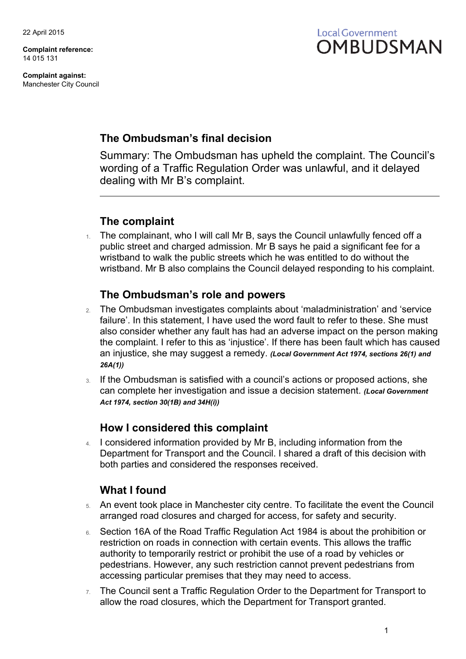**Complaint reference:** 14 015 131

**Complaint against:** Manchester City Council



### **The Ombudsman's final decision**

Summary: The Ombudsman has upheld the complaint. The Council's wording of a Traffic Regulation Order was unlawful, and it delayed dealing with Mr B's complaint.

## **The complaint**

1. The complainant, who I will call Mr B, says the Council unlawfully fenced off a public street and charged admission. Mr B says he paid a significant fee for a wristband to walk the public streets which he was entitled to do without the wristband. Mr B also complains the Council delayed responding to his complaint.

## **The Ombudsman's role and powers**

- 2. The Ombudsman investigates complaints about 'maladministration' and 'service failure'. In this statement, I have used the word fault to refer to these. She must also consider whether any fault has had an adverse impact on the person making the complaint. I refer to this as 'injustice'. If there has been fault which has caused an injustice, she may suggest a remedy. *(Local Government Act 1974, sections 26(1) and 26A(1))*
- 3. If the Ombudsman is satisfied with a council's actions or proposed actions, she can complete her investigation and issue a decision statement. *(Local Government Act 1974, section 30(1B) and 34H(i))*

## **How I considered this complaint**

4. I considered information provided by Mr B, including information from the Department for Transport and the Council. I shared a draft of this decision with both parties and considered the responses received.

# **What I found**

- 5. An event took place in Manchester city centre. To facilitate the event the Council arranged road closures and charged for access, for safety and security.
- 6. Section 16A of the Road Traffic Regulation Act 1984 is about the prohibition or restriction on roads in connection with certain events. This allows the traffic authority to temporarily restrict or prohibit the use of a road by vehicles or pedestrians. However, any such restriction cannot prevent pedestrians from accessing particular premises that they may need to access.
- $7.$  The Council sent a Traffic Regulation Order to the Department for Transport to allow the road closures, which the Department for Transport granted.